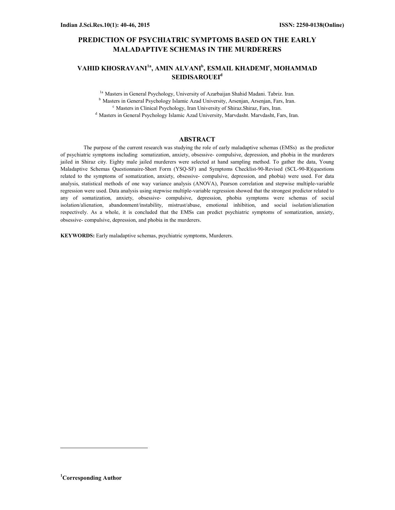# PREDICTION OF PSYCHIATRIC SYMPTOMS BASED ON THE EARLY MALADAPTIVE SCHEMAS IN THE MURDERERS

# VAHID KHOSRAVANI<sup>1a</sup>, AMIN ALVANI<sup>b</sup>, ESMAIL KHADEMI<sup>c</sup>, MOHAMMAD SEIDISAROUEI<sup>d</sup>

<sup>1a</sup> Masters in General Psychology, University of Azarbaijan Shahid Madani. Tabriz. Iran. <sup>b</sup> Masters in General Psychology Islamic Azad University, Arsenjan, Arsenjan, Fars, Iran.  $c$  Masters in Clinical Psychology, Iran University of Shiraz. Shiraz, Fars, Iran. <sup>d</sup> Masters in General Psychology Islamic Azad University, Marvdasht. Marvdasht, Fars, Iran.

#### ABSTRACT

 The purpose of the current research was studying the role of early maladaptive schemas (EMSs) as the predictor of psychiatric symptoms including somatization, anxiety, obsessive- compulsive, depression, and phobia in the murderers jailed in Shiraz city. Eighty male jailed murderers were selected at hand sampling method. To gather the data, Young Maladaptive Schemas Questionnaire-Short Form (YSQ-SF) and Symptoms Checklist-90-Revised (SCL-90-R)(questions related to the symptoms of somatization, anxiety, obsessive- compulsive, depression, and phobia) were used. For data analysis, statistical methods of one way variance analysis (ANOVA), Pearson correlation and stepwise multiple-variable regression were used. Data analysis using stepwise multiple-variable regression showed that the strongest predictor related to any of somatization, anxiety, obsessive- compulsive, depression, phobia symptoms were schemas of social isolation/alienation, abandonment/instability, mistrust/abuse, emotional inhibition, and social isolation/alienation respectively. As a whole, it is concluded that the EMSs can predict psychiatric symptoms of somatization, anxiety, obsessive- compulsive, depression, and phobia in the murderers.

KEYWORDS: Early maladaptive schemas, psychiatric symptoms, Murderers.

 $\overline{a}$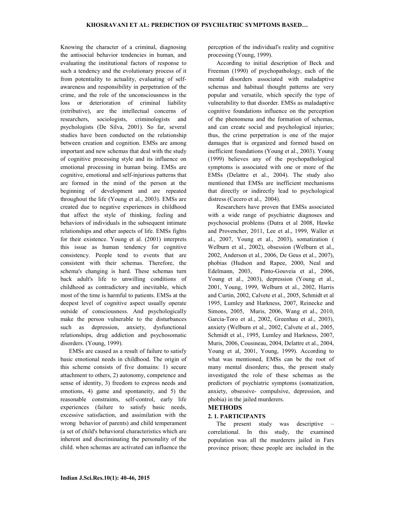Knowing the character of a criminal, diagnosing the antisocial behavior tendencies in human, and evaluating the institutional factors of response to such a tendency and the evolutionary process of it from potentiality to actuality, evaluating of selfawareness and responsibility in perpetration of the crime, and the role of the unconsciousness in the loss or deterioration of criminal liability (retributive), are the intellectual concerns of researchers, sociologists, criminologists and psychologists (De Silva, 2001). So far, several studies have been conducted on the relationship between creation and cognition. EMSs are among important and new schemas that deal with the study of cognitive processing style and its influence on emotional processing in human being. EMSs are cognitive, emotional and self-injurious patterns that are formed in the mind of the person at the beginning of development and are repeated throughout the life (Young et al., 2003). EMSs are created due to negative experiences in childhood that affect the style of thinking, feeling and behaviors of individuals in the subsequent intimate relationships and other aspects of life. EMSs fights for their existence. Young et al. (2001) interprets this issue as human tendency for cognitive consistency. People tend to events that are consistent with their schemas. Therefore, the schema's changing is hard. These schemas turn back adult's life to unwilling conditions of childhood as contradictory and inevitable, which most of the time is harmful to patients. EMSs at the deepest level of cognitive aspect usually operate outside of consciousness. And psychologically make the person vulnerable to the disturbances such as depression, anxiety, dysfunctional relationships, drug addiction and psychosomatic disorders. (Young, 1999).

EMSs are caused as a result of failure to satisfy basic emotional needs in childhood. The origin of this scheme consists of five domains: 1) secure attachment to others, 2) autonomy, competence and sense of identity, 3) freedom to express needs and emotions, 4) game and spontaneity, and 5) the reasonable constraints, self-control, early life experiences (failure to satisfy basic needs, excessive satisfaction, and assimilation with the wrong behavior of parents) and child temperament (a set of child's behavioral characteristics which are inherent and discriminating the personality of the child. when schemas are activated can influence the perception of the individual's reality and cognitive processing (Young, 1999).

According to initial description of Beck and Freeman (1990) of psychopathology, each of the mental disorders associated with maladaptive schemas and habitual thought patterns are very popular and versatile, which specify the type of vulnerability to that disorder. EMSs as maladaptive cognitive foundations influence on the perception of the phenomena and the formation of schemas, and can create social and psychological injuries; thus, the crime perpetration is one of the major damages that is organized and formed based on inefficient foundations (Young et al., 2003). Young (1999) believes any of the psychopathological symptoms is associated with one or more of the EMSs (Delattre et al., 2004). The study also mentioned that EMSs are inefficient mechanisms that directly or indirectly lead to psychological distress (Cecero et al., 2004).

Researchers have proven that EMSs associated with a wide range of psychiatric diagnoses and psychosocial problems (Dutra et al 2008, Hawke and Provencher, 2011, Lee et al., 1999, Waller et al., 2007, Young et al., 2003), somatization ( Welburn et al., 2002), obsession (Welburn et al., 2002, Anderson et al., 2006, De Geus et al., 2007), phobias (Hudson and Rapee, 2000, Neal and Edelmann, 2003, Pinto-Gouveia et al., 2006, Young et al., 2003), depression (Young et al., 2001, Young, 1999, Welburn et al., 2002, Harris and Curtin, 2002, Calvete et al., 2005, Schmidt et al 1995, Lumley and Harkness, 2007, Reinecke and Simons, 2005, Muris, 2006, Wang et al., 2010, Garcia-Toro et al., 2002, Greenhau et al., 2003), anxiety (Welburn et al., 2002, Calvete et al., 2005, Schmidt et al., 1995, Lumley and Harkness, 2007, Muris, 2006, Cousineau, 2004, Delattre et al., 2004, Young et al, 2001, Young, 1999). According to what was mentioned, EMSs can be the root of many mental disorders; thus, the present study investigated the role of these schemas as the predictors of psychiatric symptoms (somatization, anxiety, obsessive- compulsive, depression, and phobia) in the jailed murderers.

### METHODS

### 2. 1. PARTICIPANTS

The present study was descriptive – correlational. In this study, the examined population was all the murderers jailed in Fars province prison; these people are included in the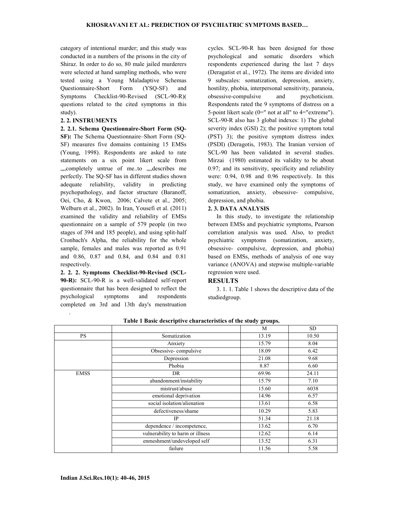category of intentional murder; and this study was conducted in a numbers of the prisons in the city of Shiraz. In order to do so, 80 male jailed murderers were selected at hand sampling methods, who were tested using a Young Maladaptive Schemas Questionnaire-Short Form (YSQ-SF) and Symptoms Checklist-90-Revised (SCL-90-R)( questions related to the cited symptoms in this study).

## 2. 2. INSTRUMENTS

.

2. 2.1. Schema Questionnaire-Short Form (SQ-

SF): The Schema Questionnaire–Short Form (SQ-SF) measures five domains containing 15 EMSs (Young, 1998). Respondents are asked to rate statements on a six point likert scale from ""..., completely untrue of me..to""..., describes me perfectly. The SQ-SF has in different studies shown adequate reliability, validity in predicting psychopathology, and factor structure (Baranoff, Oei, Cho, & Kwon, 2006; Calvete et al., 2005; Welburn et al., 2002). In Iran, Yousefi et al. (2011) examined the validity and reliability of EMSs questionnaire on a sample of 579 people (in two stages of 394 and 185 people), and using split-half Cronbach's Alpha, the reliability for the whole sample, females and males was reported as 0.91 and 0.86, 0.87 and 0.84, and 0.84 and 0.81 respectively.

2. 2. 2. Symptoms Checklist-90-Revised (SCL-90-R): SCL-90-R is a well-validated self-report questionnaire that has been designed to reflect the psychological symptoms and respondents completed on 3rd and 13th day's menstruation

cycles. SCL-90-R has been designed for those psychological and somatic disorders which respondents experienced during the last 7 days (Deragatist et al., 1972). The items are divided into 9 subscales: somatization, depression, anxiety, hostility, phobia, interpersonal sensitivity, paranoia, obsessive-compulsive and psychoticism. Respondents rated the 9 symptoms of distress on a 5-point likert scale (0=" not at all" to 4="extreme"). SCL-90-R also has 3 global indexes: 1) The global severity index (GSI) 2); the positive symptom total (PST) 3); the positive symptom distress index (PSDI) (Deragotis, 1983). The Iranian version of SCL-90 has been validated in several studies. Mirzai (1980) estimated its validity to be about 0.97; and its sensitivity, specificity and reliability were: 0.94, 0.98 and 0.96 respectively. In this study, we have examined only the symptoms of somatization, anxiety, obsessive- compulsive, depression, and phobia.

#### 2. 3. DATA ANALYSIS

In this study, to investigate the relationship between EMSs and psychiatric symptoms, Pearson correlation analysis was used. Also, to predict psychiatric symptoms (somatization, anxiety, obsessive- compulsive, depression, and phobia) based on EMSs, methods of analysis of one way variance (ANOVA) and stepwise multiple-variable regression were used.

# **RESULTS**

3. 1. 1. Table 1 shows the descriptive data of the studiedgroup.

|             |                                  | M     | <b>SD</b> |
|-------------|----------------------------------|-------|-----------|
| <b>PS</b>   | Somatization                     | 13.19 | 10.50     |
|             | Anxiety                          | 15.79 | 8.04      |
|             | Obsessive-compulsive             | 18.09 | 6.42      |
|             | Depression                       | 21.08 | 9.68      |
|             | Phobia                           | 8.87  | 6.60      |
| <b>EMSS</b> | DR                               | 69.96 | 24.11     |
|             | abandonment/instability          | 15.79 | 7.10      |
|             | mistrust/abuse                   | 15.60 | 6038      |
|             | emotional deprivation            | 14.96 | 6.57      |
|             | social isolation/alienation      | 13.61 | 6.58      |
|             | defectiveness/shame              | 10.29 | 5.83      |
|             | IP                               | 51.34 | 21.18     |
|             | dependence / incompetence,       | 13.62 | 6.70      |
|             | vulnerability to harm or illness | 12.62 | 6.14      |
|             | enmeshment/undeveloped self      | 13.52 | 6.31      |
|             | failure                          | 11.56 | 5.58      |

Table 1 Basic descriptive characteristics of the study groups.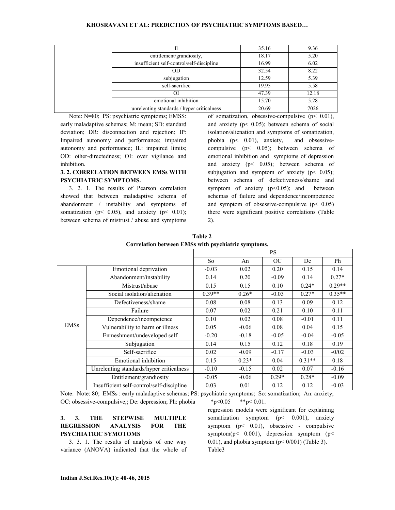| 11                                         | 35.16 | 9.36  |
|--------------------------------------------|-------|-------|
| entitlement/grandiosity,                   | 18.17 | 5.20  |
| insufficient self-control/self-discipline  | 16.99 | 6.02  |
| OD.                                        | 32.54 | 8.22  |
| subjugation                                | 12.59 | 5.39  |
| self-sacrifice                             | 19.95 | 5.58  |
| ОI                                         | 47.39 | 12.18 |
| emotional inhibition                       | 15.70 | 5.28  |
| unrelenting standards / hyper criticalness | 20.69 | 7026  |

Note: N=80; PS: psychiatric symptoms; EMSS: early maladaptive schemas; M: mean; SD: standard deviation; DR: disconnection and rejection; IP: Impaired autonomy and performance; impaired autonomy and performance; IL: impaired limits; OD: other-directedness; OI: over vigilance and inhibition.

## 3. 2. CORRELATION BETWEEN EMSs WITH PSYCHIATRIC SYMPTOMS.

3. 2. 1. The results of Pearson correlation showed that between maladaptive schema of abandonment / instability and symptoms of somatization ( $p < 0.05$ ), and anxiety ( $p < 0.01$ ); between schema of mistrust / abuse and symptoms

of somatization, obsessive-compulsive (p< 0.01), and anxiety ( $p$ < 0.05); between schema of social isolation/alienation and symptoms of somatization, phobia (p< 0.01), anxiety, and obsessivecompulsive (p< 0.05); between schema of emotional inhibition and symptoms of depression and anxiety (p< 0.05); between schema of subjugation and symptom of anxiety ( $p < 0.05$ ); between schema of defectiveness/shame and symptom of anxiety  $(p<0.05)$ ; and between schemas of failure and dependence/incompetence and symptom of obsessive-compulsive  $(p< 0.05)$ there were significant positive correlations (Table 2).

|             |                                           |          |         | <b>PS</b> |          |          |
|-------------|-------------------------------------------|----------|---------|-----------|----------|----------|
|             |                                           | So.      | An      | OC        | De       | Ph       |
|             | Emotional deprivation                     | $-0.03$  | 0.02    | 0.20      | 0.15     | 0.14     |
|             | Abandonment/instability                   | 0.14     | 0.20    | $-0.09$   | 0.14     | $0.27*$  |
|             | Mistrust/abuse                            | 0.15     | 0.15    | 0.10      | $0.24*$  | $0.29**$ |
|             | Social isolation/alienation               | $0.39**$ | $0.26*$ | $-0.03$   | $0.27*$  | $0.35**$ |
|             | Defectiveness/shame                       | 0.08     | 0.08    | 0.13      | 0.09     | 0.12     |
|             | Failure                                   | 0.07     | 0.02    | 0.21      | 0.10     | 0.11     |
|             | Dependence/incompetence                   | 0.10     | 0.02    | 0.08      | $-0.01$  | 0.11     |
| <b>EMSs</b> | Vulnerability to harm or illness          | 0.05     | $-0.06$ | 0.08      | 0.04     | 0.15     |
|             | Enmeshment/undeveloped self               | $-0.20$  | $-0.18$ | $-0.05$   | $-0.04$  | $-0.05$  |
|             | Subjugation                               | 0.14     | 0.15    | 0.12      | 0.18     | 0.19     |
|             | Self-sacrifice                            | 0.02     | $-0.09$ | $-0.17$   | $-0.03$  | $-0/02$  |
|             | Emotional inhibition                      | 0.15     | $0.23*$ | 0.04      | $0.31**$ | 0.18     |
|             | Unrelenting standards/hyper criticalness  | $-0.10$  | $-0.15$ | 0.02      | 0.07     | $-0.16$  |
|             | Entitlement/grandiosity                   | $-0.05$  | $-0.06$ | $0.29*$   | $0.28*$  | $-0.09$  |
|             | Insufficient self-control/self-discipline | 0.03     | 0.01    | 0.12      | 0.12     | $-0.03$  |

 Table 2 Correlation between EMSs with psychiatric symptoms.

Note: Note: 80; EMSs : early maladaptive schemas; PS: psychiatric symptoms; So: somatization; An: anxiety; OC: obsessive-compulsive,; De: depression; Ph: phobia  $*p<0.05$   $*p<0.01$ .

# 3. 3. THE STEPWISE MULTIPLE REGRESSION ANALYSIS FOR THE PSYCHIATRIC SYMOTOMS

3. 3. 1. The results of analysis of one way variance (ANOVA) indicated that the whole of regression models were significant for explaining somatization symptom (p< 0.001), anxiety symptom  $(p< 0.01)$ , obsessive - compulsive symptom( $p$ < 0.001), depression symptom ( $p$  < 0.01), and phobia symptom  $(p< 0/001)$  (Table 3).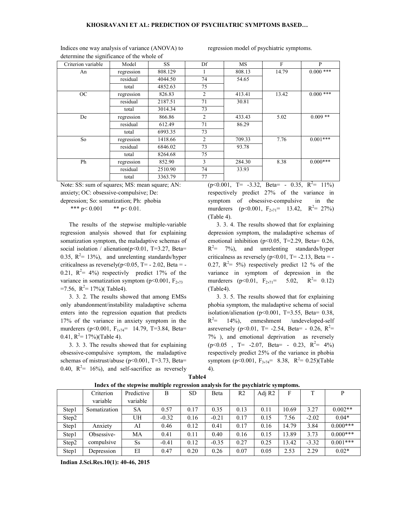| determine the significance of the whole of |            |         |    |           |       |             |
|--------------------------------------------|------------|---------|----|-----------|-------|-------------|
| Criterion variable                         | Model      | SS.     | Df | <b>MS</b> | F     | P           |
| An                                         | regression | 808.129 |    | 808.13    | 14.79 | $0.000$ *** |
|                                            | residual   | 4044.50 | 74 | 54.65     |       |             |
|                                            | total      | 4852.63 | 75 |           |       |             |
| OC                                         | regression | 826.83  | 2  | 413.41    | 13.42 | $0.000***$  |
|                                            | residual   | 2187.51 | 71 | 30.81     |       |             |
|                                            | total      | 3014.34 | 73 |           |       |             |
| De                                         | regression | 866.86  | 2  | 433.43    | 5.02  | $0.009**$   |
|                                            | residual   | 612.49  | 71 | 86.29     |       |             |
|                                            | total      | 6993.35 | 73 |           |       |             |
| So                                         | regression | 1418.66 | 2  | 709.33    | 7.76  | $0.001***$  |
|                                            | residual   | 6846.02 | 73 | 93.78     |       |             |
|                                            | total      | 8264.68 | 75 |           |       |             |
| Ph                                         | regression | 852.90  | 3  | 284.30    | 8.38  | $0.000***$  |
|                                            | residual   | 2510.90 | 74 | 33.93     |       |             |
|                                            | total      | 3363.79 | 77 |           |       |             |

Indices one way analysis of variance (ANOVA) to determine the significance of the whole of

regression model of psychiatric symptoms.

Note: SS: sum of squares; MS: mean square; AN: anxiety; OC: obsessive-compulsive; De:

depression; So: somatization; Ph: phobia

\*\*\* p< 0.001 \*\* p < 0.01.

The results of the stepwise multiple-variable regression analysis showed that for explaining somatization symptom, the maladaptive schemas of social isolation / alienation( $p<0.01$ , T=3.27, Beta= 0.35,  $R^2$ = 13%), and unrelenting standards/hyper criticalness as reversely( $p<0.05$ , T= - 2.02, Beta = -0.21,  $R^2 = 4\%$ ) respectivly predict 17% of the variance in somatization symptom ( $p<0.001$ ,  $F<sub>2,73</sub>$ )  $=7.56$ ,  $R^2 = 17\%$  (Table4).

3. 3. 2. The results showed that among EMSs only abandonment/instability maladaptive schema enters into the regression equation that predicts 17% of the variance in anxiety symptom in the murderers (p<0.001,  $F_{1,74}$  = 14.79, T=3.84, Beta= 0.41,  $R^2 = 17\%$ )(Table 4).

3. 3. 3. The results showed that for explaining obsessive-compulsive symptom, the maladaptive schemas of mistrust/abuse (p<0.001, T=3.73, Beta= 0.40,  $R^2$ = 16%), and self-sacrifice as reversely

 $(p<0.001, T= -3.32, Beta = -0.35, R<sup>2</sup>= 11\%)$ respectively predict 27% of the variance in symptom of obsessive-compulsive in the murderers (p<0.001,  $F_{2,71}$ = 13.42,  $R^2$ = 27%) (Table 4).

3. 3. 4. The results showed that for explaining depression symptom, the maladaptive schemas of emotional inhibition (p<0.05, T=2.29, Beta= 0.26,  $R^2$ = 7%), and unrelenting standards/hyper criticalness as reversely  $(p<0.01, T = -2.13, Beta = -$ 0.27,  $R^2 = 5\%$ ) respectively predict 12 % of the variance in symptom of depression in the murderers ( $p<0.01$ ,  $F_{2,71}$ = 5.02, R  $^2$  = 0.12) (Table4).

3. 3. 5. The results showed that for explaining phobia symptom, the maladaptive schema of social isolation/alienation ( $p<0.001$ , T=3.55, Beta= 0.38,  $R^2$ = 14%), enmeshment /undeveloped-self asreversely ( $p<0.01$ , T= -2.54, Beta= - 0.26,  $R^2$ = 7% ), and emotional deprivation as reversely  $(p<0.05$ , T= -2.07, Beta= - 0.23, R<sup>2</sup>= 4%) respectively predict 25% of the variance in phobia symptom (p<0.001,  $F_{3,74}$ = 8.38,  $R^2$ = 0.25)(Table 4).

| able |  |
|------|--|

|       | Criterion    | Predictive | В       | <b>SD</b> | Beta    | R <sub>2</sub> | Adj R2 | F     | T       |             |
|-------|--------------|------------|---------|-----------|---------|----------------|--------|-------|---------|-------------|
|       | variable     | variable   |         |           |         |                |        |       |         |             |
| Step1 | Somatization | <b>SA</b>  | 0.57    | 0.17      | 0.35    | 0.13           | 0.11   | 10.69 | 3.27    | $0.002**$   |
| Step2 |              | UH         | $-0.32$ | 0.16      | $-0.21$ | 0.17           | 0.15   | 7.56  | $-2.02$ | $0.04*$     |
| Step1 | Anxiety      | AI         | 0.46    | 0.12      | 0.41    | 0.17           | 0.16   | 14.79 | 3.84    | $0.000$ *** |
| Step1 | Obsessive-   | МA         | 0.41    | 0.11      | 0.40    | 0.16           | 0.15   | 13.89 | 3.73    | $0.000$ *** |
| Step2 | compulsive   | <b>Ss</b>  | $-0.41$ | 0.12      | $-0.35$ | 0.27           | 0.25   | 13.42 | $-3.32$ | $0.001***$  |
| Step1 | Depression   | EI         | 0.47    | 0.20      | 0.26    | 0.07           | 0.05   | 2.53  | 2.29    | $0.02*$     |

Index of the stepwise multiple regression analysis for the psychiatric symptoms.

Indian J.Sci.Res.10(1): 40-46, 2015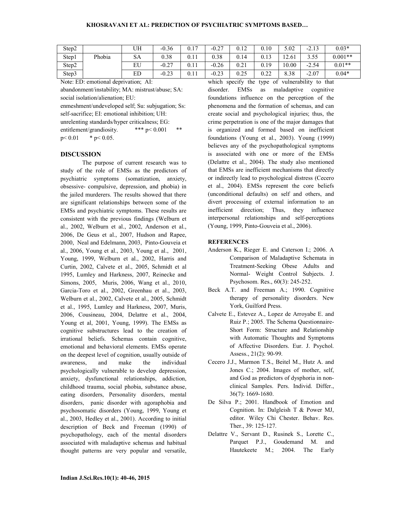| Step2 |        | UH | $-0.36$ | 0.17 | $-0.27$ | 0.12 | 0.10 | 5.02  | 212<br>$-L.L$ | $0.03*$   |
|-------|--------|----|---------|------|---------|------|------|-------|---------------|-----------|
| Step1 | Phobia | SА | 0.38    | 0.11 | 0.38    | 0.14 | 0.13 | 12.61 | 3.55          | $0.001**$ |
| Step2 |        | EU | $-0.27$ | 0.11 | $-0.26$ | 0.21 | 0.19 | 10.00 | $-2.54$       | $0.01**$  |
| Step3 |        | ED | $-0.23$ | 0.11 | $-0.23$ | 0.25 | 0.22 | 8.38  | $-2.07$       | $0.04*$   |

Note: ED: emotional deprivation; AI:

abandonment/instability; MA: mistrust/abuse; SA: social isolation/alienation; EU:

enmeshment/undeveloped self; Su: subjugation; Ss: self-sacrifice; EI: emotional inhibition; UH: unrelenting standards/hyper criticalness; EG: entitlement/grandiosity. \*\*\* p< 0.001 \*\*  $p < 0.01$  \*  $p < 0.05$ .

### **DISCUSSION**

The purpose of current research was to study of the role of EMSs as the predictors of psychiatric symptoms (somatization, anxiety, obsessive- compulsive, depression, and phobia) in the jailed murderers. The results showed that there are significant relationships between some of the EMSs and psychiatric symptoms. These results are consistent with the previous findings (Welburn et al., 2002, Welburn et al., 2002, Anderson et al., 2006, De Geus et al., 2007, Hudson and Rapee, 2000, Neal and Edelmann, 2003, Pinto-Gouveia et al., 2006, Young et al., 2003, Young et al., 2001, Young, 1999, Welburn et al., 2002, Harris and Curtin, 2002, Calvete et al., 2005, Schmidt et al 1995, Lumley and Harkness, 2007, Reinecke and Simons, 2005, Muris, 2006, Wang et al., 2010, Garcia-Toro et al., 2002, Greenhau et al., 2003, Welburn et al., 2002, Calvete et al., 2005, Schmidt et al., 1995, Lumley and Harkness, 2007, Muris, 2006, Cousineau, 2004, Delattre et al., 2004, Young et al, 2001, Young, 1999). The EMSs as cognitive substructures lead to the creation of irrational beliefs. Schemas contain cognitive, emotional and behavioral elements. EMSs operate on the deepest level of cognition, usually outside of awareness, and make the individual psychologically vulnerable to develop depression, anxiety, dysfunctional relationships, addiction, childhood trauma, social phobia, substance abuse, eating disorders, Personality disorders, mental disorders, panic disorder with agoraphobia and psychosomatic disorders (Young, 1999, Young et al., 2003, Hedley et al., 2001). According to initial description of Beck and Freeman (1990) of psychopathology, each of the mental disorders associated with maladaptive schemas and habitual thought patterns are very popular and versatile,

which specify the type of vulnerability to that disorder. EMSs as maladaptive cognitive foundations influence on the perception of the phenomena and the formation of schemas, and can create social and psychological injuries; thus, the crime perpetration is one of the major damages that is organized and formed based on inefficient foundations (Young et al., 2003). Young (1999) believes any of the psychopathological symptoms is associated with one or more of the EMSs (Delattre et al., 2004). The study also mentioned that EMSs are inefficient mechanisms that directly or indirectly lead to psychological distress (Cecero et al., 2004). EMSs represent the core beliefs (unconditional defaults) on self and others, and divert processing of external information to an inefficient direction; Thus, they influence interpersonal relationships and self-perceptions (Young, 1999, Pinto-Gouveia et al., 2006).

### **REFERENCES**

- Anderson K., Rieger E. and Caterson I.; 2006. A Comparison of Maladaptive Schemata in Treatment-Seeking Obese Adults and Normal- Weight Control Subjects. J. Psychosom. Res., 60(3): 245-252.
- Beck A.T. and Freeman A.; 1990. Cognitive therapy of personality disorders. New York, Guilford Press.
- Calvete E., Estevez A., Lopez de Arroyabe E. and Ruiz P.; 2005. The Schema Questionnaire-Short Form: Structure and Relationship with Automatic Thoughts and Symptoms of Affective Disorders. Eur. J. Psychol. Assess., 21(2): 90-99.
- Cecero J.J., Marmon T.S., Beitel M., Hutz A. and Jones C.; 2004. Images of mother, self, and God as predictors of dysphoria in nonclinical Samples. Pers. Individ. Differ., 36(7): 1669-1680.
- De Silva P.; 2001. Handbook of Emotion and Cognition. In: Dalgleish T & Power MJ, editor. Wiley Chi Chester. Behav. Res. Ther., 39: 125-127.
- Delattre V., Servant D., Rusinek S., Lorette C., Parquet P.J., Goudemand M. and Hautekeete M.; 2004. The Early